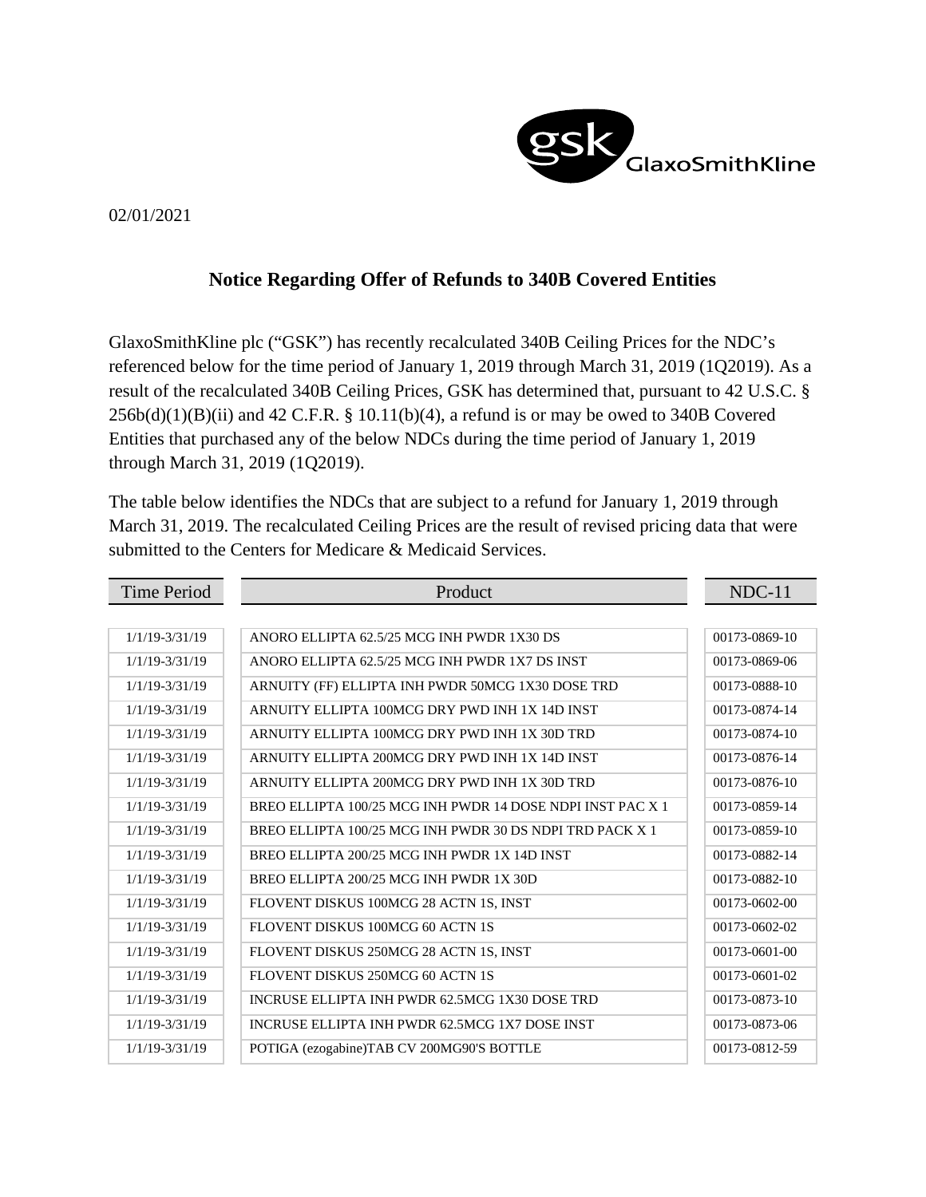

## 02/01/2021

## **Notice Regarding Offer of Refunds to 340B Covered Entities**

GlaxoSmithKline plc ("GSK") has recently recalculated 340B Ceiling Prices for the NDC's referenced below for the time period of January 1, 2019 through March 31, 2019 (1Q2019). As a result of the recalculated 340B Ceiling Prices, GSK has determined that, pursuant to 42 U.S.C. §  $256b(d)(1)(B)(ii)$  and  $42$  C.F.R. § 10.11(b)(4), a refund is or may be owed to 340B Covered Entities that purchased any of the below NDCs during the time period of January 1, 2019 through March 31, 2019 (1Q2019).

The table below identifies the NDCs that are subject to a refund for January 1, 2019 through March 31, 2019. The recalculated Ceiling Prices are the result of revised pricing data that were submitted to the Centers for Medicare & Medicaid Services.

| <b>Time Period</b> | Product                                                    | $NDC-11$      |
|--------------------|------------------------------------------------------------|---------------|
|                    |                                                            |               |
| $1/1/19 - 3/31/19$ | ANORO ELLIPTA 62.5/25 MCG INH PWDR 1X30 DS                 | 00173-0869-10 |
| $1/1/19 - 3/31/19$ | ANORO ELLIPTA 62.5/25 MCG INH PWDR 1X7 DS INST             | 00173-0869-06 |
| $1/1/19 - 3/31/19$ | ARNUITY (FF) ELLIPTA INH PWDR 50MCG 1X30 DOSE TRD          | 00173-0888-10 |
| $1/1/19 - 3/31/19$ | ARNUITY ELLIPTA 100MCG DRY PWD INH 1X 14D INST             | 00173-0874-14 |
| $1/1/19 - 3/31/19$ | ARNUITY ELLIPTA 100MCG DRY PWD INH 1X 30D TRD              | 00173-0874-10 |
| $1/1/19 - 3/31/19$ | ARNUITY ELLIPTA 200MCG DRY PWD INH 1X 14D INST             | 00173-0876-14 |
| $1/1/19 - 3/31/19$ | ARNUITY ELLIPTA 200MCG DRY PWD INH 1X 30D TRD              | 00173-0876-10 |
| $1/1/19 - 3/31/19$ | BREO ELLIPTA 100/25 MCG INH PWDR 14 DOSE NDPI INST PAC X 1 | 00173-0859-14 |
| $1/1/19 - 3/31/19$ | BREO ELLIPTA 100/25 MCG INH PWDR 30 DS NDPI TRD PACK X 1   | 00173-0859-10 |
| $1/1/19 - 3/31/19$ | BREO ELLIPTA 200/25 MCG INH PWDR 1X 14D INST               | 00173-0882-14 |
| $1/1/19 - 3/31/19$ | BREO ELLIPTA 200/25 MCG INH PWDR 1X 30D                    | 00173-0882-10 |
| $1/1/19 - 3/31/19$ | FLOVENT DISKUS 100MCG 28 ACTN 1S, INST                     | 00173-0602-00 |
| $1/1/19 - 3/31/19$ | FLOVENT DISKUS 100MCG 60 ACTN 1S                           | 00173-0602-02 |
| $1/1/19 - 3/31/19$ | FLOVENT DISKUS 250MCG 28 ACTN 1S, INST                     | 00173-0601-00 |
| $1/1/19 - 3/31/19$ | FLOVENT DISKUS 250MCG 60 ACTN 1S                           | 00173-0601-02 |
| $1/1/19 - 3/31/19$ | INCRUSE ELLIPTA INH PWDR 62.5MCG 1X30 DOSE TRD             | 00173-0873-10 |
| $1/1/19 - 3/31/19$ | INCRUSE ELLIPTA INH PWDR 62.5MCG 1X7 DOSE INST             | 00173-0873-06 |
| $1/1/19 - 3/31/19$ | POTIGA (ezogabine)TAB CV 200MG90'S BOTTLE                  | 00173-0812-59 |